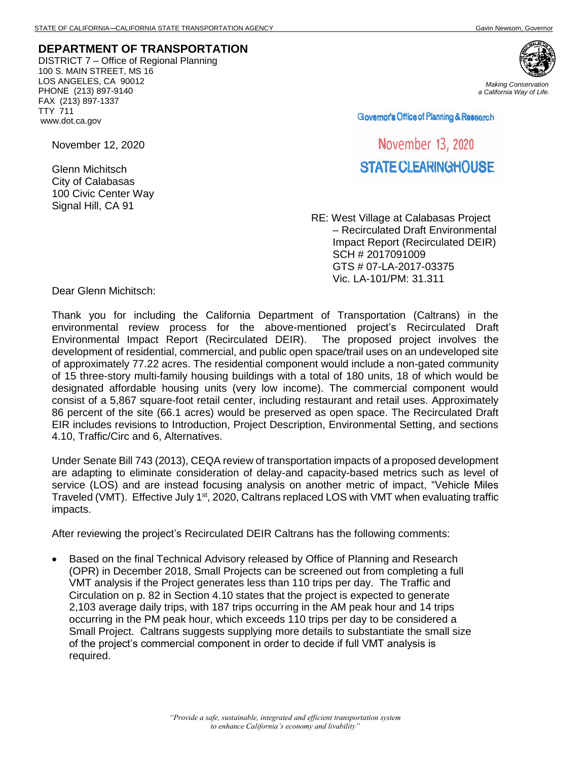## **DEPARTMENT OF TRANSPORTATION**

DISTRICT 7 – Office of Regional Planning 100 S. MAIN STREET, MS 16 LOS ANGELES, CA 90012 PHONE (213) 897-9140 FAX (213) 897-1337 TTY 711 www.dot.ca.gov



*Making Conservation a California Way of Life.*

Governor's Office of Planning & Research

## November 13, 2020 STATE CLEARINGHOUSE

RE: West Village at Calabasas Project – Recirculated Draft Environmental Impact Report (Recirculated DEIR) SCH # 2017091009 GTS # 07-LA-2017-03375 Vic. LA-101/PM: 31.311

November 12, 2020

Glenn Michitsch City of Calabasas 100 Civic Center Way Signal Hill, CA 91

Dear Glenn Michitsch:

Thank you for including the California Department of Transportation (Caltrans) in the environmental review process for the above-mentioned project's Recirculated Draft Environmental Impact Report (Recirculated DEIR). The proposed project involves the development of residential, commercial, and public open space/trail uses on an undeveloped site of approximately 77.22 acres. The residential component would include a non-gated community of 15 three-story multi-family housing buildings with a total of 180 units, 18 of which would be designated affordable housing units (very low income). The commercial component would consist of a 5,867 square-foot retail center, including restaurant and retail uses. Approximately 86 percent of the site (66.1 acres) would be preserved as open space. The Recirculated Draft EIR includes revisions to Introduction, Project Description, Environmental Setting, and sections 4.10, Traffic/Circ and 6, Alternatives.

Under Senate Bill 743 (2013), CEQA review of transportation impacts of a proposed development are adapting to eliminate consideration of delay-and capacity-based metrics such as level of service (LOS) and are instead focusing analysis on another metric of impact, "Vehicle Miles Traveled (VMT). Effective July 1<sup>st</sup>, 2020, Caltrans replaced LOS with VMT when evaluating traffic impacts.

After reviewing the project's Recirculated DEIR Caltrans has the following comments:

• Based on the final Technical Advisory released by Office of Planning and Research (OPR) in December 2018, Small Projects can be screened out from completing a full VMT analysis if the Project generates less than 110 trips per day. The Traffic and Circulation on p. 82 in Section 4.10 states that the project is expected to generate 2,103 average daily trips, with 187 trips occurring in the AM peak hour and 14 trips occurring in the PM peak hour, which exceeds 110 trips per day to be considered a Small Project. Caltrans suggests supplying more details to substantiate the small size of the project's commercial component in order to decide if full VMT analysis is required.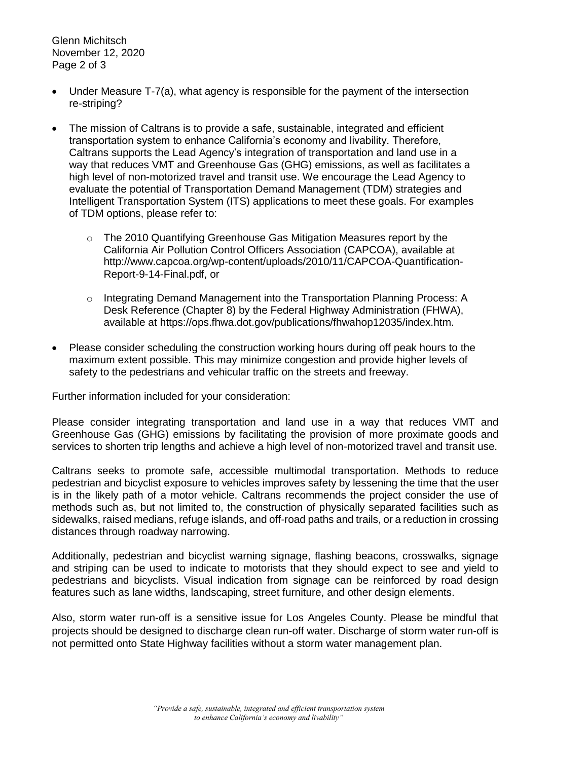Glenn Michitsch November 12, 2020 Page 2 of 3

- Under Measure T-7(a), what agency is responsible for the payment of the intersection re-striping?
- The mission of Caltrans is to provide a safe, sustainable, integrated and efficient transportation system to enhance California's economy and livability. Therefore, Caltrans supports the Lead Agency's integration of transportation and land use in a way that reduces VMT and Greenhouse Gas (GHG) emissions, as well as facilitates a high level of non-motorized travel and transit use. We encourage the Lead Agency to evaluate the potential of Transportation Demand Management (TDM) strategies and Intelligent Transportation System (ITS) applications to meet these goals. For examples of TDM options, please refer to:
	- $\circ$  The 2010 Quantifying Greenhouse Gas Mitigation Measures report by the California Air Pollution Control Officers Association (CAPCOA), available at http://www.capcoa.org/wp-content/uploads/2010/11/CAPCOA-Quantification-Report-9-14-Final.pdf, or
	- o Integrating Demand Management into the Transportation Planning Process: A Desk Reference (Chapter 8) by the Federal Highway Administration (FHWA), available at https://ops.fhwa.dot.gov/publications/fhwahop12035/index.htm.
- Please consider scheduling the construction working hours during off peak hours to the maximum extent possible. This may minimize congestion and provide higher levels of safety to the pedestrians and vehicular traffic on the streets and freeway.

Further information included for your consideration:

Please consider integrating transportation and land use in a way that reduces VMT and Greenhouse Gas (GHG) emissions by facilitating the provision of more proximate goods and services to shorten trip lengths and achieve a high level of non-motorized travel and transit use.

Caltrans seeks to promote safe, accessible multimodal transportation. Methods to reduce pedestrian and bicyclist exposure to vehicles improves safety by lessening the time that the user is in the likely path of a motor vehicle. Caltrans recommends the project consider the use of methods such as, but not limited to, the construction of physically separated facilities such as sidewalks, raised medians, refuge islands, and off-road paths and trails, or a reduction in crossing distances through roadway narrowing.

Additionally, pedestrian and bicyclist warning signage, flashing beacons, crosswalks, signage and striping can be used to indicate to motorists that they should expect to see and yield to pedestrians and bicyclists. Visual indication from signage can be reinforced by road design features such as lane widths, landscaping, street furniture, and other design elements.

Also, storm water run-off is a sensitive issue for Los Angeles County. Please be mindful that projects should be designed to discharge clean run-off water. Discharge of storm water run-off is not permitted onto State Highway facilities without a storm water management plan.